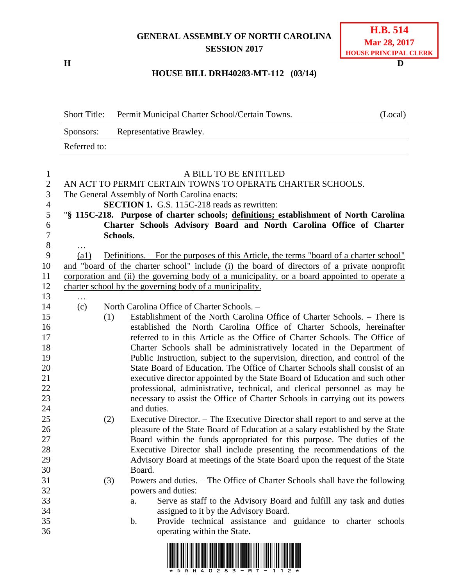## **GENERAL ASSEMBLY OF NORTH CAROLINA SESSION 2017**

**H D**

## **HOUSE BILL DRH40283-MT-112 (03/14)**

| <b>Short Title:</b> | Permit Municipal Charter School/Certain Towns. | (Local) |
|---------------------|------------------------------------------------|---------|
| Sponsors:           | Representative Brawley.                        |         |
| Referred to:        |                                                |         |

| $\mathbf{1}$   |                    |          | A BILL TO BE ENTITLED                                                                         |
|----------------|--------------------|----------|-----------------------------------------------------------------------------------------------|
| $\mathbf{2}$   |                    |          | AN ACT TO PERMIT CERTAIN TOWNS TO OPERATE CHARTER SCHOOLS.                                    |
| 3              |                    |          | The General Assembly of North Carolina enacts:                                                |
| $\overline{4}$ |                    |          | <b>SECTION 1.</b> G.S. 115C-218 reads as rewritten:                                           |
| 5              |                    |          | "§ 115C-218. Purpose of charter schools; definitions; establishment of North Carolina         |
| 6              |                    |          | Charter Schools Advisory Board and North Carolina Office of Charter                           |
| $\tau$         |                    | Schools. |                                                                                               |
| $8\,$          | $\ddotsc$          |          |                                                                                               |
| 9              | $\left( a1\right)$ |          | <u>Definitions. – For the purposes of this Article, the terms "board of a charter school"</u> |
| 10             |                    |          | and "board of the charter school" include (i) the board of directors of a private nonprofit   |
| 11             |                    |          | corporation and (ii) the governing body of a municipality, or a board appointed to operate a  |
| 12             |                    |          | charter school by the governing body of a municipality.                                       |
| 13             | $\cdots$           |          |                                                                                               |
| 14             | (c)                |          | North Carolina Office of Charter Schools. -                                                   |
| 15             |                    | (1)      | Establishment of the North Carolina Office of Charter Schools. – There is                     |
| 16             |                    |          | established the North Carolina Office of Charter Schools, hereinafter                         |
| 17             |                    |          | referred to in this Article as the Office of Charter Schools. The Office of                   |
| 18             |                    |          | Charter Schools shall be administratively located in the Department of                        |
| 19             |                    |          | Public Instruction, subject to the supervision, direction, and control of the                 |
| 20             |                    |          | State Board of Education. The Office of Charter Schools shall consist of an                   |
| 21             |                    |          | executive director appointed by the State Board of Education and such other                   |
| 22             |                    |          | professional, administrative, technical, and clerical personnel as may be                     |
| 23             |                    |          | necessary to assist the Office of Charter Schools in carrying out its powers                  |
| 24             |                    |          | and duties.                                                                                   |
| 25             |                    | (2)      | Executive Director. – The Executive Director shall report to and serve at the                 |
| 26             |                    |          | pleasure of the State Board of Education at a salary established by the State                 |
| 27             |                    |          | Board within the funds appropriated for this purpose. The duties of the                       |
| 28             |                    |          | Executive Director shall include presenting the recommendations of the                        |
| 29             |                    |          | Advisory Board at meetings of the State Board upon the request of the State                   |
| 30             |                    |          | Board.                                                                                        |
| 31             |                    | (3)      | Powers and duties. – The Office of Charter Schools shall have the following                   |
| 32             |                    |          | powers and duties:                                                                            |
| 33             |                    |          | Serve as staff to the Advisory Board and fulfill any task and duties<br>a.                    |
| 34             |                    |          | assigned to it by the Advisory Board.                                                         |
| 35             |                    |          | Provide technical assistance and guidance to charter schools<br>$\mathbf b$ .                 |
| 36             |                    |          | operating within the State.                                                                   |
|                |                    |          |                                                                                               |

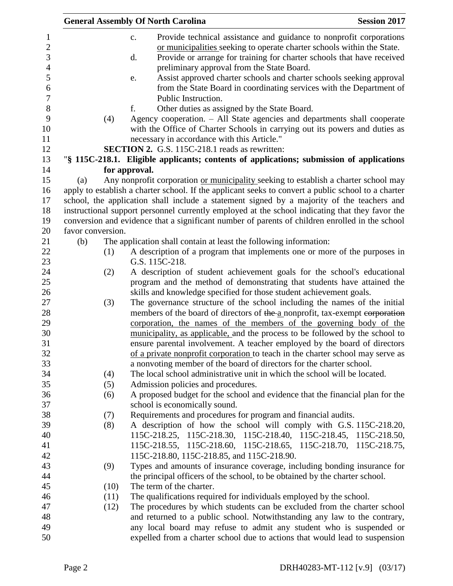|                   |      | <b>General Assembly Of North Carolina</b>                                                                                                                                                                                                                                                                                                                                                                                               | <b>Session 2017</b> |
|-------------------|------|-----------------------------------------------------------------------------------------------------------------------------------------------------------------------------------------------------------------------------------------------------------------------------------------------------------------------------------------------------------------------------------------------------------------------------------------|---------------------|
|                   |      | Provide technical assistance and guidance to nonprofit corporations<br>c.<br>or municipalities seeking to operate charter schools within the State.<br>Provide or arrange for training for charter schools that have received<br>d.<br>preliminary approval from the State Board.<br>Assist approved charter schools and charter schools seeking approval<br>e.<br>from the State Board in coordinating services with the Department of |                     |
|                   |      | Public Instruction.                                                                                                                                                                                                                                                                                                                                                                                                                     |                     |
|                   |      | Other duties as assigned by the State Board.<br>f.                                                                                                                                                                                                                                                                                                                                                                                      |                     |
|                   | (4)  | Agency cooperation. - All State agencies and departments shall cooperate<br>with the Office of Charter Schools in carrying out its powers and duties as<br>necessary in accordance with this Article."                                                                                                                                                                                                                                  |                     |
|                   |      | <b>SECTION 2.</b> G.S. 115C-218.1 reads as rewritten:                                                                                                                                                                                                                                                                                                                                                                                   |                     |
|                   |      | "§ 115C-218.1. Eligible applicants; contents of applications; submission of applications                                                                                                                                                                                                                                                                                                                                                |                     |
|                   |      | for approval.                                                                                                                                                                                                                                                                                                                                                                                                                           |                     |
| (a)               |      | Any nonprofit corporation or municipality seeking to establish a charter school may                                                                                                                                                                                                                                                                                                                                                     |                     |
|                   |      | apply to establish a charter school. If the applicant seeks to convert a public school to a charter                                                                                                                                                                                                                                                                                                                                     |                     |
|                   |      | school, the application shall include a statement signed by a majority of the teachers and                                                                                                                                                                                                                                                                                                                                              |                     |
|                   |      | instructional support personnel currently employed at the school indicating that they favor the                                                                                                                                                                                                                                                                                                                                         |                     |
|                   |      | conversion and evidence that a significant number of parents of children enrolled in the school                                                                                                                                                                                                                                                                                                                                         |                     |
| favor conversion. |      |                                                                                                                                                                                                                                                                                                                                                                                                                                         |                     |
| (b)               |      | The application shall contain at least the following information:                                                                                                                                                                                                                                                                                                                                                                       |                     |
|                   | (1)  | A description of a program that implements one or more of the purposes in                                                                                                                                                                                                                                                                                                                                                               |                     |
|                   |      | G.S. 115C-218.                                                                                                                                                                                                                                                                                                                                                                                                                          |                     |
|                   | (2)  | A description of student achievement goals for the school's educational                                                                                                                                                                                                                                                                                                                                                                 |                     |
|                   |      | program and the method of demonstrating that students have attained the                                                                                                                                                                                                                                                                                                                                                                 |                     |
|                   | (3)  | skills and knowledge specified for those student achievement goals.<br>The governance structure of the school including the names of the initial                                                                                                                                                                                                                                                                                        |                     |
|                   |      | members of the board of directors of the a nonprofit, tax-exempt corporation                                                                                                                                                                                                                                                                                                                                                            |                     |
|                   |      | corporation, the names of the members of the governing body of the                                                                                                                                                                                                                                                                                                                                                                      |                     |
|                   |      | municipality, as applicable, and the process to be followed by the school to                                                                                                                                                                                                                                                                                                                                                            |                     |
|                   |      | ensure parental involvement. A teacher employed by the board of directors                                                                                                                                                                                                                                                                                                                                                               |                     |
|                   |      | of a private nonprofit corporation to teach in the charter school may serve as                                                                                                                                                                                                                                                                                                                                                          |                     |
|                   |      | a nonvoting member of the board of directors for the charter school.                                                                                                                                                                                                                                                                                                                                                                    |                     |
|                   | (4)  | The local school administrative unit in which the school will be located.                                                                                                                                                                                                                                                                                                                                                               |                     |
|                   | (5)  | Admission policies and procedures.                                                                                                                                                                                                                                                                                                                                                                                                      |                     |
|                   | (6)  | A proposed budget for the school and evidence that the financial plan for the                                                                                                                                                                                                                                                                                                                                                           |                     |
|                   |      | school is economically sound.                                                                                                                                                                                                                                                                                                                                                                                                           |                     |
|                   | (7)  | Requirements and procedures for program and financial audits.                                                                                                                                                                                                                                                                                                                                                                           |                     |
|                   | (8)  | A description of how the school will comply with G.S. 115C-218.20,                                                                                                                                                                                                                                                                                                                                                                      |                     |
|                   |      | 115C-218.25, 115C-218.30, 115C-218.40, 115C-218.45, 115C-218.50,                                                                                                                                                                                                                                                                                                                                                                        |                     |
|                   |      | 115C-218.55, 115C-218.60, 115C-218.65, 115C-218.70, 115C-218.75,                                                                                                                                                                                                                                                                                                                                                                        |                     |
|                   |      | 115C-218.80, 115C-218.85, and 115C-218.90.                                                                                                                                                                                                                                                                                                                                                                                              |                     |
|                   | (9)  | Types and amounts of insurance coverage, including bonding insurance for                                                                                                                                                                                                                                                                                                                                                                |                     |
|                   |      | the principal officers of the school, to be obtained by the charter school.                                                                                                                                                                                                                                                                                                                                                             |                     |
|                   | (10) | The term of the charter.                                                                                                                                                                                                                                                                                                                                                                                                                |                     |
|                   | (11) | The qualifications required for individuals employed by the school.                                                                                                                                                                                                                                                                                                                                                                     |                     |
|                   | (12) | The procedures by which students can be excluded from the charter school                                                                                                                                                                                                                                                                                                                                                                |                     |
|                   |      | and returned to a public school. Notwithstanding any law to the contrary,                                                                                                                                                                                                                                                                                                                                                               |                     |
|                   |      | any local board may refuse to admit any student who is suspended or                                                                                                                                                                                                                                                                                                                                                                     |                     |
|                   |      | expelled from a charter school due to actions that would lead to suspension                                                                                                                                                                                                                                                                                                                                                             |                     |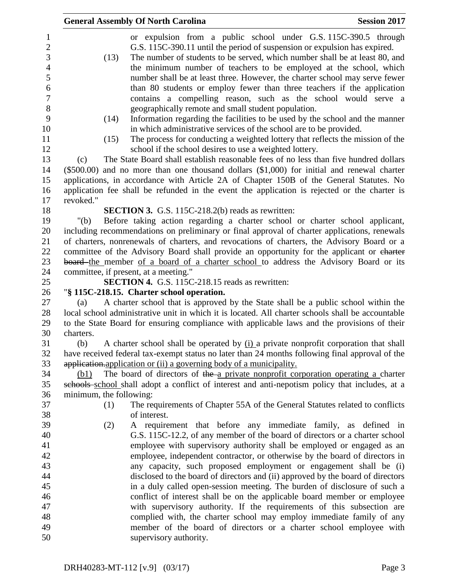| <b>General Assembly Of North Carolina</b><br><b>Session 2017</b>                                                                                                                                                                                                                                                                                                                                                                                                                                                                                                                             |
|----------------------------------------------------------------------------------------------------------------------------------------------------------------------------------------------------------------------------------------------------------------------------------------------------------------------------------------------------------------------------------------------------------------------------------------------------------------------------------------------------------------------------------------------------------------------------------------------|
| or expulsion from a public school under G.S. 115C-390.5 through<br>G.S. 115C-390.11 until the period of suspension or expulsion has expired.<br>The number of students to be served, which number shall be at least 80, and<br>(13)<br>the minimum number of teachers to be employed at the school, which<br>number shall be at least three. However, the charter school may serve fewer<br>than 80 students or employ fewer than three teachers if the application<br>contains a compelling reason, such as the school would serve a<br>geographically remote and small student population. |
| Information regarding the facilities to be used by the school and the manner<br>(14)<br>in which administrative services of the school are to be provided.                                                                                                                                                                                                                                                                                                                                                                                                                                   |
| The process for conducting a weighted lottery that reflects the mission of the<br>(15)<br>school if the school desires to use a weighted lottery.                                                                                                                                                                                                                                                                                                                                                                                                                                            |
| The State Board shall establish reasonable fees of no less than five hundred dollars<br>(c)                                                                                                                                                                                                                                                                                                                                                                                                                                                                                                  |
| $(\$500.00)$ and no more than one thousand dollars $(\$1,000)$ for initial and renewal charter                                                                                                                                                                                                                                                                                                                                                                                                                                                                                               |
| applications, in accordance with Article 2A of Chapter 150B of the General Statutes. No                                                                                                                                                                                                                                                                                                                                                                                                                                                                                                      |
| application fee shall be refunded in the event the application is rejected or the charter is                                                                                                                                                                                                                                                                                                                                                                                                                                                                                                 |
| revoked."                                                                                                                                                                                                                                                                                                                                                                                                                                                                                                                                                                                    |
| <b>SECTION 3.</b> G.S. 115C-218.2(b) reads as rewritten:                                                                                                                                                                                                                                                                                                                                                                                                                                                                                                                                     |
| Before taking action regarding a charter school or charter school applicant,<br>" $(b)$                                                                                                                                                                                                                                                                                                                                                                                                                                                                                                      |
| including recommendations on preliminary or final approval of charter applications, renewals                                                                                                                                                                                                                                                                                                                                                                                                                                                                                                 |
| of charters, nonrenewals of charters, and revocations of charters, the Advisory Board or a                                                                                                                                                                                                                                                                                                                                                                                                                                                                                                   |
| committee of the Advisory Board shall provide an opportunity for the applicant or eharter                                                                                                                                                                                                                                                                                                                                                                                                                                                                                                    |
| board the member of a board of a charter school to address the Advisory Board or its                                                                                                                                                                                                                                                                                                                                                                                                                                                                                                         |
| committee, if present, at a meeting."                                                                                                                                                                                                                                                                                                                                                                                                                                                                                                                                                        |
| SECTION 4. G.S. 115C-218.15 reads as rewritten:                                                                                                                                                                                                                                                                                                                                                                                                                                                                                                                                              |
| "§ 115C-218.15. Charter school operation.                                                                                                                                                                                                                                                                                                                                                                                                                                                                                                                                                    |
| A charter school that is approved by the State shall be a public school within the<br>(a)<br>local school administrative unit in which it is located. All charter schools shall be accountable<br>to the State Board for ensuring compliance with applicable laws and the provisions of their                                                                                                                                                                                                                                                                                                |
| charters.                                                                                                                                                                                                                                                                                                                                                                                                                                                                                                                                                                                    |
| A charter school shall be operated by $(i)$ a private nonprofit corporation that shall<br>(b)                                                                                                                                                                                                                                                                                                                                                                                                                                                                                                |
| have received federal tax-exempt status no later than 24 months following final approval of the                                                                                                                                                                                                                                                                                                                                                                                                                                                                                              |
| application application or (ii) a governing body of a municipality.                                                                                                                                                                                                                                                                                                                                                                                                                                                                                                                          |
| The board of directors of the a private nonprofit corporation operating a charter<br>(b1)                                                                                                                                                                                                                                                                                                                                                                                                                                                                                                    |
| schools school shall adopt a conflict of interest and anti-nepotism policy that includes, at a                                                                                                                                                                                                                                                                                                                                                                                                                                                                                               |
| minimum, the following:                                                                                                                                                                                                                                                                                                                                                                                                                                                                                                                                                                      |
| The requirements of Chapter 55A of the General Statutes related to conflicts<br>(1)                                                                                                                                                                                                                                                                                                                                                                                                                                                                                                          |
| of interest.                                                                                                                                                                                                                                                                                                                                                                                                                                                                                                                                                                                 |
| A requirement that before any immediate family, as defined in<br>(2)                                                                                                                                                                                                                                                                                                                                                                                                                                                                                                                         |
| G.S. 115C-12.2, of any member of the board of directors or a charter school                                                                                                                                                                                                                                                                                                                                                                                                                                                                                                                  |
| employee with supervisory authority shall be employed or engaged as an                                                                                                                                                                                                                                                                                                                                                                                                                                                                                                                       |
| employee, independent contractor, or otherwise by the board of directors in                                                                                                                                                                                                                                                                                                                                                                                                                                                                                                                  |
| any capacity, such proposed employment or engagement shall be (i)                                                                                                                                                                                                                                                                                                                                                                                                                                                                                                                            |
| disclosed to the board of directors and (ii) approved by the board of directors                                                                                                                                                                                                                                                                                                                                                                                                                                                                                                              |
| in a duly called open-session meeting. The burden of disclosure of such a                                                                                                                                                                                                                                                                                                                                                                                                                                                                                                                    |
| conflict of interest shall be on the applicable board member or employee                                                                                                                                                                                                                                                                                                                                                                                                                                                                                                                     |
| with supervisory authority. If the requirements of this subsection are                                                                                                                                                                                                                                                                                                                                                                                                                                                                                                                       |
| complied with, the charter school may employ immediate family of any                                                                                                                                                                                                                                                                                                                                                                                                                                                                                                                         |
| member of the board of directors or a charter school employee with                                                                                                                                                                                                                                                                                                                                                                                                                                                                                                                           |
| supervisory authority.                                                                                                                                                                                                                                                                                                                                                                                                                                                                                                                                                                       |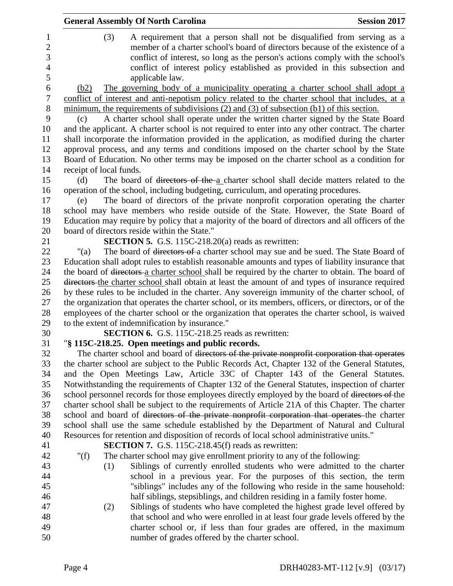|                                       | <b>General Assembly Of North Carolina</b>                                                                                                                                                                                                                                                         | <b>Session 2017</b> |
|---------------------------------------|---------------------------------------------------------------------------------------------------------------------------------------------------------------------------------------------------------------------------------------------------------------------------------------------------|---------------------|
| $\mathbf{1}$<br>$\boldsymbol{2}$<br>3 | (3)<br>A requirement that a person shall not be disqualified from serving as a<br>member of a charter school's board of directors because of the existence of a<br>conflict of interest, so long as the person's actions comply with the school's                                                 |                     |
| $\overline{4}$<br>5                   | conflict of interest policy established as provided in this subsection and<br>applicable law.                                                                                                                                                                                                     |                     |
| 6<br>$\boldsymbol{7}$                 | The governing body of a municipality operating a charter school shall adopt a<br>(b2)<br>conflict of interest and anti-nepotism policy related to the charter school that includes, at a                                                                                                          |                     |
| $\, 8$<br>9<br>10                     | minimum, the requirements of subdivisions $(2)$ and $(3)$ of subsection $(b1)$ of this section.<br>A charter school shall operate under the written charter signed by the State Board<br>(c)<br>and the applicant. A charter school is not required to enter into any other contract. The charter |                     |
| 11<br>12                              | shall incorporate the information provided in the application, as modified during the charter<br>approval process, and any terms and conditions imposed on the charter school by the State                                                                                                        |                     |
| 13<br>14                              | Board of Education. No other terms may be imposed on the charter school as a condition for<br>receipt of local funds.                                                                                                                                                                             |                     |
| 15<br>16                              | The board of directors of the a charter school shall decide matters related to the<br>(d)<br>operation of the school, including budgeting, curriculum, and operating procedures.                                                                                                                  |                     |
| 17<br>18                              | The board of directors of the private nonprofit corporation operating the charter<br>(e)<br>school may have members who reside outside of the State. However, the State Board of                                                                                                                  |                     |
| 19<br>20                              | Education may require by policy that a majority of the board of directors and all officers of the<br>board of directors reside within the State."                                                                                                                                                 |                     |
| 21<br>22                              | SECTION 5. G.S. 115C-218.20(a) reads as rewritten:<br>The board of directors of a charter school may sue and be sued. The State Board of<br>" $(a)$                                                                                                                                               |                     |
| 23<br>24                              | Education shall adopt rules to establish reasonable amounts and types of liability insurance that<br>the board of directors a charter school shall be required by the charter to obtain. The board of                                                                                             |                     |
| 25<br>26                              | directors the charter school shall obtain at least the amount of and types of insurance required<br>by these rules to be included in the charter. Any sovereign immunity of the charter school, of                                                                                                |                     |
| 27<br>28<br>29                        | the organization that operates the charter school, or its members, officers, or directors, or of the<br>employees of the charter school or the organization that operates the charter school, is waived<br>to the extent of indemnification by insurance."                                        |                     |
| 30                                    | <b>SECTION 6.</b> G.S. 115C-218.25 reads as rewritten:                                                                                                                                                                                                                                            |                     |
| 31                                    | "§ 115C-218.25. Open meetings and public records.                                                                                                                                                                                                                                                 |                     |
| 32<br>33                              | The charter school and board of <del>directors of the private nonprofit corporation that operates</del><br>the charter school are subject to the Public Records Act, Chapter 132 of the General Statutes,                                                                                         |                     |
| 34<br>35                              | and the Open Meetings Law, Article 33C of Chapter 143 of the General Statutes.<br>Notwithstanding the requirements of Chapter 132 of the General Statutes, inspection of charter                                                                                                                  |                     |
| 36                                    | school personnel records for those employees directly employed by the board of directors of the                                                                                                                                                                                                   |                     |
| 37                                    | charter school shall be subject to the requirements of Article 21A of this Chapter. The charter                                                                                                                                                                                                   |                     |
| 38                                    | school and board of <del>directors of the private nonprofit corporation that operates</del> -the charter                                                                                                                                                                                          |                     |
| 39                                    | school shall use the same schedule established by the Department of Natural and Cultural                                                                                                                                                                                                          |                     |
| 40<br>41                              | Resources for retention and disposition of records of local school administrative units."<br><b>SECTION 7.</b> G.S. 115C-218.45(f) reads as rewritten:                                                                                                                                            |                     |
| 42                                    | " $(f)$<br>The charter school may give enrollment priority to any of the following:                                                                                                                                                                                                               |                     |
| 43                                    | Siblings of currently enrolled students who were admitted to the charter<br>(1)                                                                                                                                                                                                                   |                     |
| 44                                    | school in a previous year. For the purposes of this section, the term                                                                                                                                                                                                                             |                     |
| 45                                    | "siblings" includes any of the following who reside in the same household:                                                                                                                                                                                                                        |                     |
| 46                                    | half siblings, stepsiblings, and children residing in a family foster home.                                                                                                                                                                                                                       |                     |
| 47                                    | (2)<br>Siblings of students who have completed the highest grade level offered by                                                                                                                                                                                                                 |                     |
| 48                                    | that school and who were enrolled in at least four grade levels offered by the                                                                                                                                                                                                                    |                     |
| 49                                    | charter school or, if less than four grades are offered, in the maximum                                                                                                                                                                                                                           |                     |
| 50                                    | number of grades offered by the charter school.                                                                                                                                                                                                                                                   |                     |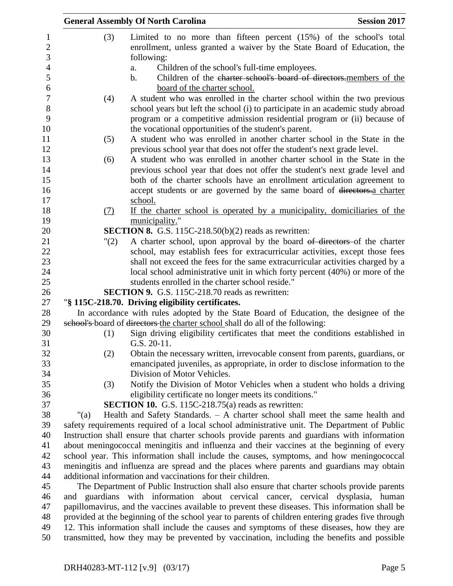| <b>General Assembly Of North Carolina</b><br><b>Session 2017</b>                                                                                                                               |
|------------------------------------------------------------------------------------------------------------------------------------------------------------------------------------------------|
| Limited to no more than fifteen percent $(15%)$ of the school's total                                                                                                                          |
| enrollment, unless granted a waiver by the State Board of Education, the                                                                                                                       |
| following:                                                                                                                                                                                     |
| Children of the school's full-time employees.                                                                                                                                                  |
| Children of the charter school's board of directors members of the<br>$\mathbf b$ .                                                                                                            |
| board of the charter school.                                                                                                                                                                   |
| A student who was enrolled in the charter school within the two previous                                                                                                                       |
| school years but left the school (i) to participate in an academic study abroad                                                                                                                |
| program or a competitive admission residential program or (ii) because of                                                                                                                      |
| the vocational opportunities of the student's parent.                                                                                                                                          |
| A student who was enrolled in another charter school in the State in the                                                                                                                       |
| previous school year that does not offer the student's next grade level.                                                                                                                       |
| A student who was enrolled in another charter school in the State in the                                                                                                                       |
| previous school year that does not offer the student's next grade level and                                                                                                                    |
| both of the charter schools have an enrollment articulation agreement to                                                                                                                       |
| accept students or are governed by the same board of directors.a charter                                                                                                                       |
| school.                                                                                                                                                                                        |
| If the charter school is operated by a municipality, domiciliaries of the                                                                                                                      |
| municipality."<br><b>SECTION 8.</b> G.S. 115C-218.50(b)(2) reads as rewritten:                                                                                                                 |
| A charter school, upon approval by the board of directors of the charter                                                                                                                       |
| school, may establish fees for extracurricular activities, except those fees                                                                                                                   |
| shall not exceed the fees for the same extracurricular activities charged by a                                                                                                                 |
| local school administrative unit in which forty percent (40%) or more of the                                                                                                                   |
| students enrolled in the charter school reside."                                                                                                                                               |
| <b>SECTION 9.</b> G.S. 115C-218.70 reads as rewritten:                                                                                                                                         |
| "§ 115C-218.70. Driving eligibility certificates.                                                                                                                                              |
| In accordance with rules adopted by the State Board of Education, the designee of the                                                                                                          |
| school's board of directors the charter school shall do all of the following:                                                                                                                  |
| Sign driving eligibility certificates that meet the conditions established in                                                                                                                  |
| $G.S. 20-11.$                                                                                                                                                                                  |
| Obtain the necessary written, irrevocable consent from parents, guardians, or                                                                                                                  |
| emancipated juveniles, as appropriate, in order to disclose information to the                                                                                                                 |
| Division of Motor Vehicles.                                                                                                                                                                    |
| Notify the Division of Motor Vehicles when a student who holds a driving                                                                                                                       |
| eligibility certificate no longer meets its conditions."                                                                                                                                       |
| <b>SECTION 10.</b> G.S. 115C-218.75(a) reads as rewritten:                                                                                                                                     |
| Health and Safety Standards. - A charter school shall meet the same health and                                                                                                                 |
| safety requirements required of a local school administrative unit. The Department of Public                                                                                                   |
| Instruction shall ensure that charter schools provide parents and guardians with information                                                                                                   |
| about meningococcal meningitis and influenza and their vaccines at the beginning of every                                                                                                      |
| school year. This information shall include the causes, symptoms, and how meningococcal                                                                                                        |
| meningitis and influenza are spread and the places where parents and guardians may obtain<br>additional information and vaccinations for their children.                                       |
|                                                                                                                                                                                                |
|                                                                                                                                                                                                |
| The Department of Public Instruction shall also ensure that charter schools provide parents                                                                                                    |
| and guardians with information about cervical cancer, cervical dysplasia, human                                                                                                                |
| papillomavirus, and the vaccines available to prevent these diseases. This information shall be                                                                                                |
| provided at the beginning of the school year to parents of children entering grades five through<br>12. This information shall include the causes and symptoms of these diseases, how they are |
| a.                                                                                                                                                                                             |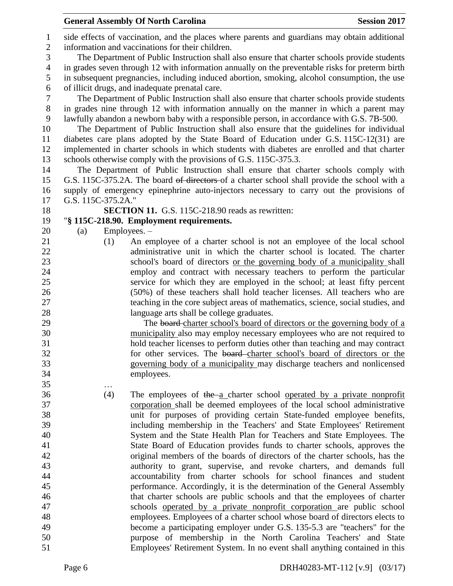|                |                    | <b>General Assembly Of North Carolina</b>                                                                                                                                               | <b>Session 2017</b> |
|----------------|--------------------|-----------------------------------------------------------------------------------------------------------------------------------------------------------------------------------------|---------------------|
| $\mathbf{1}$   |                    | side effects of vaccination, and the places where parents and guardians may obtain additional                                                                                           |                     |
| $\sqrt{2}$     |                    | information and vaccinations for their children.                                                                                                                                        |                     |
| 3              |                    | The Department of Public Instruction shall also ensure that charter schools provide students                                                                                            |                     |
| $\overline{4}$ |                    | in grades seven through 12 with information annually on the preventable risks for preterm birth                                                                                         |                     |
| 5              |                    | in subsequent pregnancies, including induced abortion, smoking, alcohol consumption, the use                                                                                            |                     |
| 6              |                    | of illicit drugs, and inadequate prenatal care.                                                                                                                                         |                     |
| $\overline{7}$ |                    | The Department of Public Instruction shall also ensure that charter schools provide students                                                                                            |                     |
| $8\,$          |                    | in grades nine through 12 with information annually on the manner in which a parent may                                                                                                 |                     |
| 9<br>10        |                    | lawfully abandon a newborn baby with a responsible person, in accordance with G.S. 7B-500.<br>The Department of Public Instruction shall also ensure that the guidelines for individual |                     |
| 11             |                    | diabetes care plans adopted by the State Board of Education under G.S. 115C-12(31) are                                                                                                  |                     |
| 12             |                    | implemented in charter schools in which students with diabetes are enrolled and that charter                                                                                            |                     |
| 13             |                    | schools otherwise comply with the provisions of G.S. 115C-375.3.                                                                                                                        |                     |
| 14             |                    | The Department of Public Instruction shall ensure that charter schools comply with                                                                                                      |                     |
| 15             |                    | G.S. 115C-375.2A. The board of directors of a charter school shall provide the school with a                                                                                            |                     |
| 16             |                    | supply of emergency epinephrine auto-injectors necessary to carry out the provisions of                                                                                                 |                     |
| 17             | G.S. 115C-375.2A." |                                                                                                                                                                                         |                     |
| 18             |                    | <b>SECTION 11.</b> G.S. 115C-218.90 reads as rewritten:                                                                                                                                 |                     |
| 19             |                    | "§ 115C-218.90. Employment requirements.                                                                                                                                                |                     |
| 20             | (a)                | Employees. -                                                                                                                                                                            |                     |
| 21             | (1)                | An employee of a charter school is not an employee of the local school                                                                                                                  |                     |
| 22             |                    | administrative unit in which the charter school is located. The charter                                                                                                                 |                     |
| 23             |                    | school's board of directors or the governing body of a municipality shall                                                                                                               |                     |
| 24             |                    | employ and contract with necessary teachers to perform the particular                                                                                                                   |                     |
| 25             |                    | service for which they are employed in the school; at least fifty percent                                                                                                               |                     |
| 26             |                    | (50%) of these teachers shall hold teacher licenses. All teachers who are                                                                                                               |                     |
| 27             |                    | teaching in the core subject areas of mathematics, science, social studies, and                                                                                                         |                     |
| 28             |                    | language arts shall be college graduates.                                                                                                                                               |                     |
| 29             |                    | The board-charter school's board of directors or the governing body of a                                                                                                                |                     |
| 30             |                    | municipality also may employ necessary employees who are not required to                                                                                                                |                     |
| 31             |                    | hold teacher licenses to perform duties other than teaching and may contract                                                                                                            |                     |
| 32             |                    | for other services. The board-charter school's board of directors or the                                                                                                                |                     |
| 33             |                    | governing body of a municipality may discharge teachers and nonlicensed                                                                                                                 |                     |
| 34             |                    | employees.                                                                                                                                                                              |                     |
| 35             | .                  |                                                                                                                                                                                         |                     |
| 36             | (4)                | The employees of the $a$ charter school operated by a private nonprofit                                                                                                                 |                     |
| 37             |                    | corporation shall be deemed employees of the local school administrative                                                                                                                |                     |
| 38             |                    | unit for purposes of providing certain State-funded employee benefits,                                                                                                                  |                     |
| 39<br>40       |                    | including membership in the Teachers' and State Employees' Retirement                                                                                                                   |                     |
| 41             |                    | System and the State Health Plan for Teachers and State Employees. The<br>State Board of Education provides funds to charter schools, approves the                                      |                     |
| 42             |                    | original members of the boards of directors of the charter schools, has the                                                                                                             |                     |
| 43             |                    | authority to grant, supervise, and revoke charters, and demands full                                                                                                                    |                     |
| 44             |                    | accountability from charter schools for school finances and student                                                                                                                     |                     |
| 45             |                    | performance. Accordingly, it is the determination of the General Assembly                                                                                                               |                     |
| 46             |                    | that charter schools are public schools and that the employees of charter                                                                                                               |                     |
| 47             |                    | schools operated by a private nonprofit corporation are public school                                                                                                                   |                     |
| 48             |                    | employees. Employees of a charter school whose board of directors elects to                                                                                                             |                     |
| 49             |                    | become a participating employer under G.S. 135-5.3 are "teachers" for the                                                                                                               |                     |
| 50             |                    | purpose of membership in the North Carolina Teachers' and State                                                                                                                         |                     |
| 51             |                    | Employees' Retirement System. In no event shall anything contained in this                                                                                                              |                     |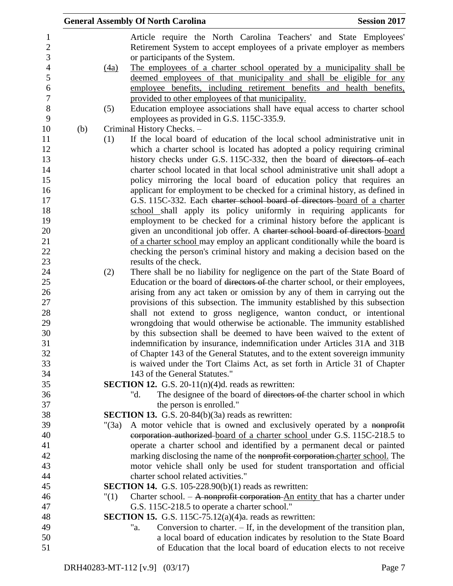|                  |     | <b>General Assembly Of North Carolina</b><br><b>Session 2017</b>                     |
|------------------|-----|--------------------------------------------------------------------------------------|
| 1                |     | Article require the North Carolina Teachers' and State Employees'                    |
| $\boldsymbol{2}$ |     | Retirement System to accept employees of a private employer as members               |
| 3                |     | or participants of the System.                                                       |
| $\overline{4}$   |     | The employees of a charter school operated by a municipality shall be<br>(4a)        |
| 5                |     | deemed employees of that municipality and shall be eligible for any                  |
| 6                |     | employee benefits, including retirement benefits and health benefits,                |
| $\overline{7}$   |     | provided to other employees of that municipality.                                    |
| 8                |     | Education employee associations shall have equal access to charter school<br>(5)     |
| 9                |     | employees as provided in G.S. 115C-335.9.                                            |
| 10               | (b) | Criminal History Checks. -                                                           |
| 11               |     | If the local board of education of the local school administrative unit in<br>(1)    |
| 12               |     | which a charter school is located has adopted a policy requiring criminal            |
| 13               |     | history checks under G.S. 115C-332, then the board of directors of each              |
| 14               |     | charter school located in that local school administrative unit shall adopt a        |
| 15               |     | policy mirroring the local board of education policy that requires an                |
| 16               |     | applicant for employment to be checked for a criminal history, as defined in         |
| 17               |     | G.S. 115C-332. Each charter school board of directors board of a charter             |
| 18               |     | school shall apply its policy uniformly in requiring applicants for                  |
| 19               |     | employment to be checked for a criminal history before the applicant is              |
| 20               |     | given an unconditional job offer. A charter school board of directors board          |
| 21               |     | of a charter school may employ an applicant conditionally while the board is         |
| 22               |     | checking the person's criminal history and making a decision based on the            |
| 23               |     | results of the check.                                                                |
| 24               |     | There shall be no liability for negligence on the part of the State Board of<br>(2)  |
| 25               |     | Education or the board of directors of the charter school, or their employees,       |
| 26               |     | arising from any act taken or omission by any of them in carrying out the            |
| 27               |     | provisions of this subsection. The immunity established by this subsection           |
| 28               |     | shall not extend to gross negligence, wanton conduct, or intentional                 |
| 29               |     | wrongdoing that would otherwise be actionable. The immunity established              |
| 30               |     | by this subsection shall be deemed to have been waived to the extent of              |
| 31               |     | indemnification by insurance, indemnification under Articles 31A and 31B             |
| 32               |     | of Chapter 143 of the General Statutes, and to the extent sovereign immunity         |
| 33               |     | is waived under the Tort Claims Act, as set forth in Article 31 of Chapter           |
| 34               |     | 143 of the General Statutes."                                                        |
| 35               |     | <b>SECTION 12.</b> G.S. 20-11(n)(4)d. reads as rewritten:                            |
| 36               |     | The designee of the board of directors of the charter school in which<br>"d.         |
| 37               |     | the person is enrolled."                                                             |
| 38               |     | <b>SECTION 13.</b> G.S. 20-84(b) $(3a)$ reads as rewritten:                          |
| 39               |     | A motor vehicle that is owned and exclusively operated by a nonprofit<br>" $(3a)$    |
| 40               |     | corporation authorized board of a charter school under G.S. 115C-218.5 to            |
| 41               |     | operate a charter school and identified by a permanent decal or painted              |
| 42               |     | marking disclosing the name of the nonprofit corporation. charter school. The        |
| 43               |     | motor vehicle shall only be used for student transportation and official             |
| 44               |     | charter school related activities."                                                  |
| 45               |     | <b>SECTION 14.</b> G.S. 105-228.90(b)(1) reads as rewritten:                         |
| 46               |     | Charter school. - A nonprofit corporation An entity that has a charter under<br>"(1) |
| 47               |     | G.S. 115C-218.5 to operate a charter school."                                        |
| 48               |     | <b>SECTION 15.</b> G.S. 115C-75.12(a)(4)a. reads as rewritten:                       |
| 49               |     | Conversion to charter. $-$ If, in the development of the transition plan,<br>"a.     |
| 50               |     | a local board of education indicates by resolution to the State Board                |
| 51               |     | of Education that the local board of education elects to not receive                 |